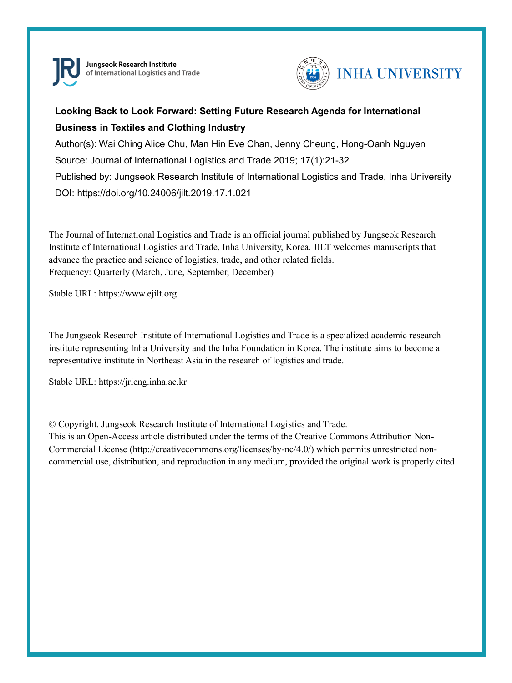

Jungseok Research Institute of International Logistics and Trade



### **Looking Back to Look Forward: Setting Future Research Agenda for International Business in Textiles and Clothing Industry**

Author(s): Wai Ching Alice Chu, Man Hin Eve Chan, Jenny Cheung, Hong-Oanh Nguyen Source: Journal of International Logistics and Trade 2019; 17(1):21-32

Published by: Jungseok Research Institute of International Logistics and Trade, Inha University DOI: https://doi.org/10.24006/jilt.2019.17.1.021

The Journal of International Logistics and Trade is an official journal published by Jungseok Research Institute of International Logistics and Trade, Inha University, Korea. JILT welcomes manuscripts that advance the practice and science of logistics, trade, and other related fields. Frequency: Quarterly (March, June, September, December)

Stable URL: https://www.ejilt.org

The Jungseok Research Institute of International Logistics and Trade is a specialized academic research institute representing Inha University and the Inha Foundation in Korea. The institute aims to become a representative institute in Northeast Asia in the research of logistics and trade.

Stable URL: https://jrieng.inha.ac.kr

© Copyright. Jungseok Research Institute of International Logistics and Trade.

This is an Open-Access article distributed under the terms of the Creative Commons Attribution Non-Commercial License (http://creativecommons.org/licenses/by-nc/4.0/) which permits unrestricted noncommercial use, distribution, and reproduction in any medium, provided the original work is properly cited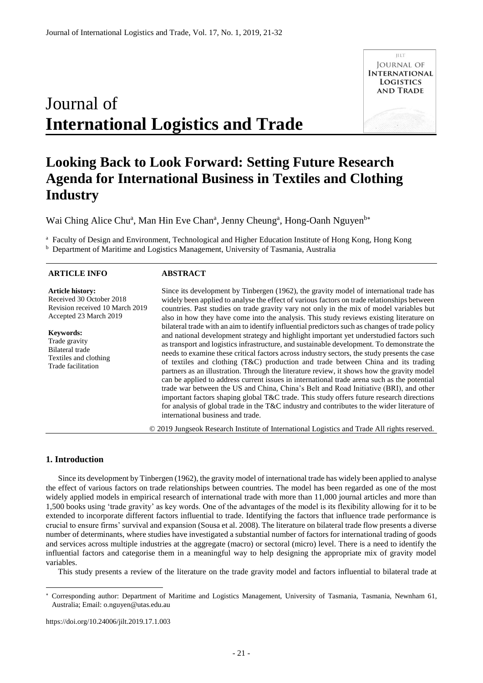# Journal of **International Logistics and Trade**



## **Looking Back to Look Forward: Setting Future Research Agenda for International Business in Textiles and Clothing Industry**

Wai Ching Alice Chu<sup>a</sup>, Man Hin Eve Chan<sup>a</sup>, Jenny Cheung<sup>a</sup>, Hong-Oanh Nguyen<sup>b\*</sup>

<sup>a</sup> Faculty of Design and Environment, Technological and Higher Education Institute of Hong Kong, Hong Kong

<sup>b</sup> Department of Maritime and Logistics Management, University of Tasmania, Australia

#### **ARTICLE INFO Article history:**  Received 30 October 2018 Revision received 10 March 2019 Accepted 23 March 2019 **Keywords:**  Trade gravity Bilateral trade Textiles and clothing Trade facilitation **ABSTRACT** Since its development by Tinbergen (1962), the gravity model of international trade has widely been applied to analyse the effect of various factors on trade relationships between countries. Past studies on trade gravity vary not only in the mix of model variables but also in how they have come into the analysis. This study reviews existing literature on bilateral trade with an aim to identify influential predictors such as changes of trade policy and national development strategy and highlight important yet understudied factors such as transport and logistics infrastructure, and sustainable development. To demonstrate the needs to examine these critical factors across industry sectors, the study presents the case of textiles and clothing (T&C) production and trade between China and its trading partners as an illustration. Through the literature review, it shows how the gravity model can be applied to address current issues in international trade arena such as the potential trade war between the US and China, China's Belt and Road Initiative (BRI), and other important factors shaping global T&C trade. This study offers future research directions for analysis of global trade in the T&C industry and contributes to the wider literature of international business and trade.

© 2019 Jungseok Research Institute of International Logistics and Trade All rights reserved.

#### **1. Introduction**

-

Since its development by Tinbergen (1962), the gravity model of international trade has widely been applied to analyse the effect of various factors on trade relationships between countries. The model has been regarded as one of the most widely applied models in empirical research of international trade with more than 11,000 journal articles and more than 1,500 books using 'trade gravity' as key words. One of the advantages of the model is its flexibility allowing for it to be extended to incorporate different factors influential to trade. Identifying the factors that influence trade performance is crucial to ensure firms' survival and expansion (Sousa et al. 2008). The literature on bilateral trade flow presents a diverse number of determinants, where studies have investigated a substantial number of factors for international trading of goods and services across multiple industries at the aggregate (macro) or sectoral (micro) level. There is a need to identify the influential factors and categorise them in a meaningful way to help designing the appropriate mix of gravity model variables.

This study presents a review of the literature on the trade gravity model and factors influential to bilateral trade at

https://doi.org/10.24006/jilt.2019.17.1.003

Corresponding author: Department of Maritime and Logistics Management, University of Tasmania, Tasmania, Newnham 61, Australia; Email: o.nguyen@utas.edu.au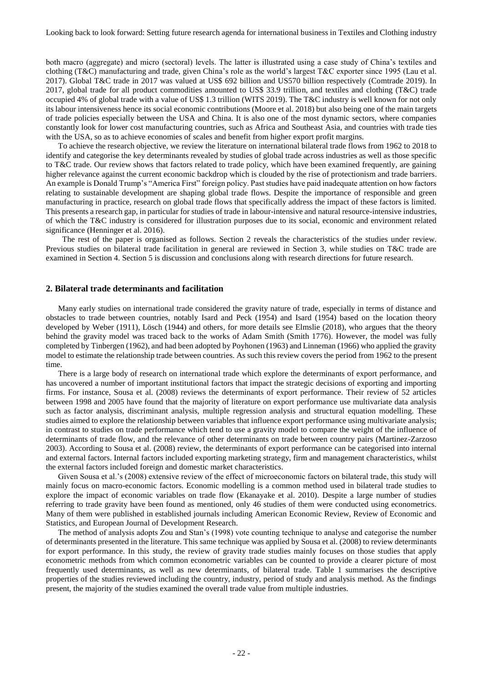both macro (aggregate) and micro (sectoral) levels. The latter is illustrated using a case study of China's textiles and clothing (T&C) manufacturing and trade, given China's role as the world's largest T&C exporter since 1995 (Lau et al. 2017). Global T&C trade in 2017 was valued at US\$ 692 billion and US570 billion respectively (Comtrade 2019). In 2017, global trade for all product commodities amounted to US\$ 33.9 trillion, and textiles and clothing (T&C) trade occupied 4% of global trade with a value of US\$ 1.3 trillion (WITS 2019). The T&C industry is well known for not only its labour intensiveness hence its social economic contributions (Moore et al. 2018) but also being one of the main targets of trade policies especially between the USA and China. It is also one of the most dynamic sectors, where companies constantly look for lower cost manufacturing countries, such as Africa and Southeast Asia, and countries with trade ties with the USA, so as to achieve economies of scales and benefit from higher export profit margins.

To achieve the research objective, we review the literature on international bilateral trade flows from 1962 to 2018 to identify and categorise the key determinants revealed by studies of global trade across industries as well as those specific to T&C trade. Our review shows that factors related to trade policy, which have been examined frequently, are gaining higher relevance against the current economic backdrop which is clouded by the rise of protectionism and trade barriers. An example is Donald Trump's "America First" foreign policy. Past studies have paid inadequate attention on how factors relating to sustainable development are shaping global trade flows. Despite the importance of responsible and green manufacturing in practice, research on global trade flows that specifically address the impact of these factors is limited. This presents a research gap, in particular for studies of trade in labour-intensive and natural resource-intensive industries, of which the T&C industry is considered for illustration purposes due to its social, economic and environment related significance (Henninger et al. 2016).

The rest of the paper is organised as follows. Section 2 reveals the characteristics of the studies under review. Previous studies on bilateral trade facilitation in general are reviewed in Section 3, while studies on T&C trade are examined in Section 4. Section 5 is discussion and conclusions along with research directions for future research.

#### **2. Bilateral trade determinants and facilitation**

Many early studies on international trade considered the gravity nature of trade, especially in terms of distance and obstacles to trade between countries, notably Isard and Peck (1954) and Isard (1954) based on the location theory developed by Weber (1911), Lösch (1944) and others, for more details see Elmslie (2018), who argues that the theory behind the gravity model was traced back to the works of Adam Smith (Smith 1776). However, the model was fully completed by Tinbergen (1962), and had been adopted by Poyhonen (1963) and Linneman (1966) who applied the gravity model to estimate the relationship trade between countries. As such this review covers the period from 1962 to the present time.

There is a large body of research on international trade which explore the determinants of export performance, and has uncovered a number of important institutional factors that impact the strategic decisions of exporting and importing firms. For instance, Sousa et al. (2008) reviews the determinants of export performance. Their review of 52 articles between 1998 and 2005 have found that the majority of literature on export performance use multivariate data analysis such as factor analysis, discriminant analysis, multiple regression analysis and structural equation modelling. These studies aimed to explore the relationship between variables that influence export performance using multivariate analysis; in contrast to studies on trade performance which tend to use a gravity model to compare the weight of the influence of determinants of trade flow, and the relevance of other determinants on trade between country pairs (Martinez-Zarzoso 2003). According to Sousa et al. (2008) review, the determinants of export performance can be categorised into internal and external factors. Internal factors included exporting marketing strategy, firm and management characteristics, whilst the external factors included foreign and domestic market characteristics.

Given Sousa et al.'s (2008) extensive review of the effect of microeconomic factors on bilateral trade, this study will mainly focus on macro-economic factors. Economic modelling is a common method used in bilateral trade studies to explore the impact of economic variables on trade flow (Ekanayake et al. 2010). Despite a large number of studies referring to trade gravity have been found as mentioned, only 46 studies of them were conducted using econometrics. Many of them were published in established journals including American Economic Review, Review of Economic and Statistics, and European Journal of Development Research.

The method of analysis adopts Zou and Stan's (1998) vote counting technique to analyse and categorise the number of determinants presented in the literature. This same technique was applied by Sousa et al. (2008) to review determinants for export performance. In this study, the review of gravity trade studies mainly focuses on those studies that apply econometric methods from which common econometric variables can be counted to provide a clearer picture of most frequently used determinants, as well as new determinants, of bilateral trade. Table 1 summarises the descriptive properties of the studies reviewed including the country, industry, period of study and analysis method. As the findings present, the majority of the studies examined the overall trade value from multiple industries.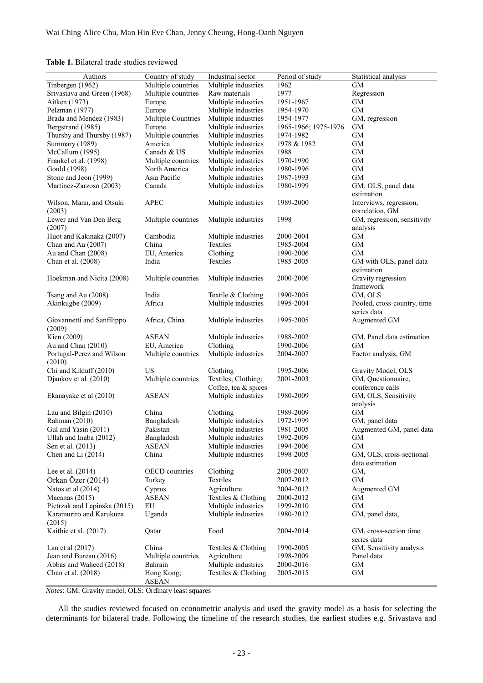#### **Table 1.** Bilateral trade studies reviewed

| Authors                             | Country of study           | Industrial sector    | Period of study      | Statistical analysis                       |
|-------------------------------------|----------------------------|----------------------|----------------------|--------------------------------------------|
| Tinbergen (1962)                    | Multiple countries         | Multiple industries  | 1962                 | GМ                                         |
| Srivastava and Green (1968)         | Multiple countries         | Raw materials        | 1977                 | Regression                                 |
| Aitken (1973)                       | Europe                     | Multiple industries  | 1951-1967            | <b>GM</b>                                  |
| Pelzman (1977)                      | Europe                     | Multiple industries  | 1954-1970            | GМ                                         |
| Brada and Mendez (1983)             | Multiple Countries         | Multiple industries  | 1954-1977            | GM, regression                             |
| Bergstrand (1985)                   | Europe                     | Multiple industries  | 1965-1966; 1975-1976 | GM                                         |
| Thursby and Thursby (1987)          | Multiple countries         | Multiple industries  | 1974-1982            | <b>GM</b>                                  |
| Summary (1989)                      | America                    | Multiple industries  | 1978 & 1982          | <b>GM</b>                                  |
| McCallum (1995)                     | Canada & US                | Multiple industries  | 1988                 | <b>GM</b>                                  |
| Frankel et al. (1998)               | Multiple countries         | Multiple industries  | 1970-1990            | <b>GM</b>                                  |
| Gould (1998)                        | North America              | Multiple industries  | 1980-1996            | <b>GM</b>                                  |
| Stone and Jeon (1999)               | Asia Pacific               | Multiple industries  | 1987-1993            | GM                                         |
| Martinez-Zarzoso (2003)             | Canada                     | Multiple industries  | 1980-1999            | GM: OLS, panel data                        |
|                                     |                            |                      |                      | estimation                                 |
| Wilson, Mann, and Otsuki<br>(2003)  | <b>APEC</b>                | Multiple industries  | 1989-2000            | Interviews, regression,<br>correlation, GM |
| Lewer and Van Den Berg              | Multiple countries         | Multiple industries  | 1998                 | GM, regression, sensitivity                |
| (2007)                              |                            |                      |                      | analysis                                   |
| Huot and Kakinaka (2007)            | Cambodia                   | Multiple industries  | 2000-2004            | GM                                         |
| Chan and Au (2007)                  | China                      | Textiles             | 1985-2004            | <b>GM</b>                                  |
| Au and Chan (2008)                  | EU, America                | Clothing             | 1990-2006            | <b>GM</b>                                  |
| Chan et al. (2008)                  | India                      | Textiles             | 1985-2005            | GM with OLS, panel data                    |
|                                     |                            |                      |                      | estimation                                 |
| Hoekman and Nicita (2008)           | Multiple countries         | Multiple industries  | 2000-2006            | Gravity regression                         |
|                                     |                            |                      |                      | framework                                  |
| Tsang and Au (2008)                 | India                      | Textile & Clothing   | 1990-2005            | GM, OLS                                    |
| Akinkugbe (2009)                    | Africa                     | Multiple industries  | 1995-2004            | Pooled, cross-country, time                |
|                                     |                            |                      |                      | series data                                |
| Giovannetti and Sanfilippo          | Africa, China              | Multiple industries  | 1995-2005            | Augmented GM                               |
| (2009)                              |                            |                      |                      |                                            |
| Kien (2009)                         | <b>ASEAN</b>               | Multiple industries  | 1988-2002            | GM, Panel data estimation                  |
| Au and Chan (2010)                  |                            | Clothing             | 1990-2006            | GM                                         |
|                                     | EU, America                |                      |                      |                                            |
| Portugal-Perez and Wilson<br>(2010) | Multiple countries         | Multiple industries  | 2004-2007            | Factor analysis, GM                        |
| Chi and Kilduff (2010)              | US                         | Clothing             | 1995-2006            | Gravity Model, OLS                         |
| Djankov et al. (2010)               | Multiple countries         | Textiles; Clothing;  | 2001-2003            | GM, Questionnaire,                         |
|                                     |                            | Coffee, tea & spices |                      | conference calls                           |
| Ekanayake et al (2010)              | <b>ASEAN</b>               | Multiple industries  | 1980-2009            | GM, OLS, Sensitivity                       |
|                                     |                            |                      |                      | analysis                                   |
| Lau and Bilgin (2010)               | China                      | Clothing             | 1989-2009            | GM                                         |
| Rahman (2010)                       | Bangladesh                 | Multiple industries  | 1972-1999            | GM, panel data                             |
| Gul and Yasin (2011)                | Pakistan                   | Multiple industries  | 1981-2005            | Augmented GM, panel data                   |
| Ullah and Inaba (2012)              | Bangladesh                 | Multiple industries  | 1992-2009            | GM                                         |
| Sen et al. (2013)                   | <b>ASEAN</b>               | Multiple industries  | 1994-2006            | <b>GM</b>                                  |
|                                     | China                      |                      | 1998-2005            |                                            |
| Chen and Li $(2014)$                |                            | Multiple industries  |                      | GM, OLS, cross-sectional                   |
|                                     |                            |                      |                      | data estimation                            |
| Lee et al. $(2014)$                 | <b>OECD</b> countries      | Clothing             | 2005-2007            | GM,                                        |
| Orkan Özer (2014)                   | Turkey                     | Textiles             | 2007-2012            | <b>GM</b>                                  |
| Natos et al (2014)                  | Cyprus                     | Agriculture          | 2004-2012            | Augmented GM                               |
| Macanas (2015)                      | <b>ASEAN</b>               | Textiles & Clothing  | 2000-2012            | <b>GM</b>                                  |
| Pietrzak and Lapinska (2015)        | EU                         | Multiple industries  | 1999-2010            | <b>GM</b>                                  |
| Karamuriro and Karukuza<br>(2015)   | Uganda                     | Multiple industries  | 1980-2012            | GM, panel data,                            |
| Kaitbie et al. (2017)               | Qatar                      | Food                 | 2004-2014            | GM, cross-section time                     |
|                                     |                            |                      |                      | series data                                |
| Lau et al $(2017)$                  | China                      | Textiles & Clothing  | 1990-2005            | GM, Sensitivity analysis                   |
| Jean and Bureau (2016)              | Multiple countries         | Agriculture          | 1998-2009            | Panel data                                 |
| Abbas and Waheed (2018)             | Bahrain                    | Multiple industries  | 2000-2016            | <b>GM</b>                                  |
| Chan et al. (2018)                  | Hong Kong;<br><b>ASEAN</b> | Textiles & Clothing  | 2005-2015            | <b>GM</b>                                  |

*Notes*: GM: Gravity model, OLS: Ordinary least squares

All the studies reviewed focused on econometric analysis and used the gravity model as a basis for selecting the determinants for bilateral trade. Following the timeline of the research studies, the earliest studies e.g. Srivastava and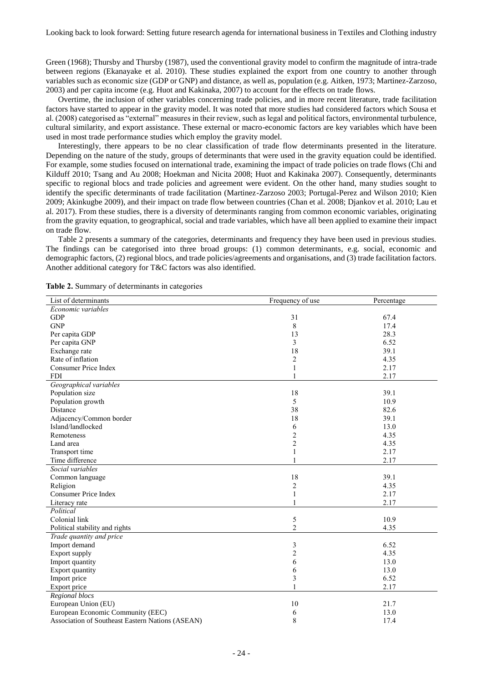Green (1968); Thursby and Thursby (1987), used the conventional gravity model to confirm the magnitude of intra-trade between regions (Ekanayake et al. 2010). These studies explained the export from one country to another through variables such as economic size (GDP or GNP) and distance, as well as, population (e.g. Aitken, 1973; Martinez-Zarzoso, 2003) and per capita income (e.g. Huot and Kakinaka, 2007) to account for the effects on trade flows.

Overtime, the inclusion of other variables concerning trade policies, and in more recent literature, trade facilitation factors have started to appear in the gravity model. It was noted that more studies had considered factors which Sousa et al. (2008) categorised as "external" measures in their review, such as legal and political factors, environmental turbulence, cultural similarity, and export assistance. These external or macro-economic factors are key variables which have been used in most trade performance studies which employ the gravity model.

Interestingly, there appears to be no clear classification of trade flow determinants presented in the literature. Depending on the nature of the study, groups of determinants that were used in the gravity equation could be identified. For example, some studies focused on international trade, examining the impact of trade policies on trade flows (Chi and Kilduff 2010; Tsang and Au 2008; Hoekman and Nicita 2008; Huot and Kakinaka 2007). Consequently, determinants specific to regional blocs and trade policies and agreement were evident. On the other hand, many studies sought to identify the specific determinants of trade facilitation (Martinez-Zarzoso 2003; Portugal-Perez and Wilson 2010; Kien 2009; Akinkugbe 2009), and their impact on trade flow between countries (Chan et al. 2008; Djankov et al. 2010; Lau et al. 2017). From these studies, there is a diversity of determinants ranging from common economic variables, originating from the gravity equation, to geographical, social and trade variables, which have all been applied to examine their impact on trade flow.

Table 2 presents a summary of the categories, determinants and frequency they have been used in previous studies. The findings can be categorised into three broad groups: (1) common determinants, e.g. social, economic and demographic factors, (2) regional blocs, and trade policies/agreements and organisations, and (3) trade facilitation factors. Another additional category for T&C factors was also identified.

| List of determinants                             | Frequency of use | Percentage |
|--------------------------------------------------|------------------|------------|
| Economic variables                               |                  |            |
| <b>GDP</b>                                       | 31               | 67.4       |
| <b>GNP</b>                                       | $\,8\,$          | 17.4       |
| Per capita GDP                                   | 13               | 28.3       |
| Per capita GNP                                   | 3                | 6.52       |
| Exchange rate                                    | 18               | 39.1       |
| Rate of inflation                                | 2                | 4.35       |
| <b>Consumer Price Index</b>                      | 1                | 2.17       |
| <b>FDI</b>                                       | $\mathbf{1}$     | 2.17       |
| Geographical variables                           |                  |            |
| Population size                                  | 18               | 39.1       |
| Population growth                                | 5                | 10.9       |
| Distance                                         | 38               | 82.6       |
| Adjacency/Common border                          | 18               | 39.1       |
| Island/landlocked                                | 6                | 13.0       |
| Remoteness                                       | $\overline{c}$   | 4.35       |
| Land area                                        | $\overline{c}$   | 4.35       |
| Transport time                                   |                  | 2.17       |
| Time difference                                  | 1                | 2.17       |
| Social variables                                 |                  |            |
| Common language                                  | 18               | 39.1       |
| Religion                                         | $\overline{c}$   | 4.35       |
| <b>Consumer Price Index</b>                      | $\mathbf{1}$     | 2.17       |
| Literacy rate                                    | 1                | 2.17       |
| Political                                        |                  |            |
| Colonial link                                    | 5                | 10.9       |
| Political stability and rights                   | $\overline{c}$   | 4.35       |
| Trade quantity and price                         |                  |            |
| Import demand                                    | 3                | 6.52       |
| Export supply                                    | 2                | 4.35       |
| Import quantity                                  | 6                | 13.0       |
| <b>Export quantity</b>                           | 6                | 13.0       |
| Import price                                     | 3                | 6.52       |
| Export price                                     |                  | 2.17       |
| Regional blocs                                   |                  |            |
| European Union (EU)                              | 10               | 21.7       |
| European Economic Community (EEC)                | 6                | 13.0       |
| Association of Southeast Eastern Nations (ASEAN) | 8                | 17.4       |

**Table 2.** Summary of determinants in categories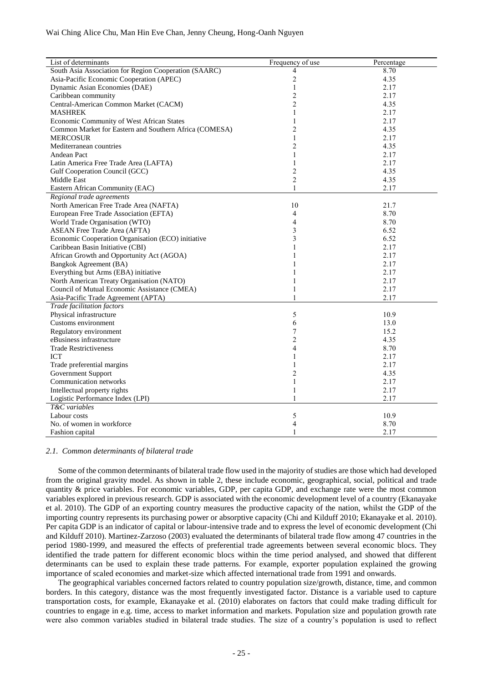| List of determinants                                   | Frequency of use        | Percentage |
|--------------------------------------------------------|-------------------------|------------|
| South Asia Association for Region Cooperation (SAARC)  | 4                       | 8.70       |
| Asia-Pacific Economic Cooperation (APEC)               | $\overline{c}$          | 4.35       |
| Dynamic Asian Economies (DAE)                          | 1                       | 2.17       |
| Caribbean community                                    | 2                       | 2.17       |
| Central-American Common Market (CACM)                  | $\overline{2}$          | 4.35       |
| <b>MASHREK</b>                                         | 1                       | 2.17       |
| Economic Community of West African States              | 1                       | 2.17       |
| Common Market for Eastern and Southern Africa (COMESA) | $\overline{\mathbf{c}}$ | 4.35       |
| <b>MERCOSUR</b>                                        | 1                       | 2.17       |
| Mediterranean countries                                | 2                       | 4.35       |
| <b>Andean Pact</b>                                     | 1                       | 2.17       |
| Latin America Free Trade Area (LAFTA)                  | 1                       | 2.17       |
| Gulf Cooperation Council (GCC)                         | $\overline{c}$          | 4.35       |
| Middle East                                            | $\overline{c}$          | 4.35       |
| Eastern African Community (EAC)                        | $\mathbf{1}$            | 2.17       |
| Regional trade agreements                              |                         |            |
| North American Free Trade Area (NAFTA)                 | 10                      | 21.7       |
| European Free Trade Association (EFTA)                 | $\overline{4}$          | 8.70       |
| World Trade Organisation (WTO)                         | 4                       | 8.70       |
| <b>ASEAN Free Trade Area (AFTA)</b>                    | 3                       | 6.52       |
| Economic Cooperation Organisation (ECO) initiative     | 3                       | 6.52       |
| Caribbean Basin Initiative (CBI)                       | 1                       | 2.17       |
| African Growth and Opportunity Act (AGOA)              | 1                       | 2.17       |
| Bangkok Agreement (BA)                                 | 1                       | 2.17       |
| Everything but Arms (EBA) initiative                   | 1                       | 2.17       |
| North American Treaty Organisation (NATO)              | 1                       | 2.17       |
| Council of Mutual Economic Assistance (CMEA)           | 1                       | 2.17       |
| Asia-Pacific Trade Agreement (APTA)                    | $\mathbf{1}$            | 2.17       |
| Trade facilitation factors                             |                         |            |
| Physical infrastructure                                | 5                       | 10.9       |
| Customs environment                                    | 6                       | 13.0       |
| Regulatory environment                                 | 7                       | 15.2       |
| eBusiness infrastructure                               | $\overline{\mathbf{c}}$ | 4.35       |
| <b>Trade Restrictiveness</b>                           | 4                       | 8.70       |
| <b>ICT</b>                                             | 1                       | 2.17       |
| Trade preferential margins                             | 1                       | 2.17       |
| Government Support                                     | 2                       | 4.35       |
| Communication networks                                 | 1                       | 2.17       |
| Intellectual property rights                           | $\mathbf{1}$            | 2.17       |
| Logistic Performance Index (LPI)                       | 1                       | 2.17       |
| T&C variables                                          |                         |            |
| Labour costs                                           | 5                       | 10.9       |
| No. of women in workforce                              | 4                       | 8.70       |
| Fashion capital                                        | 1                       | 2.17       |

#### *2.1. Common determinants of bilateral trade*

Some of the common determinants of bilateral trade flow used in the majority of studies are those which had developed from the original gravity model. As shown in table 2, these include economic, geographical, social, political and trade quantity  $\&$  price variables. For economic variables, GDP, per capita GDP, and exchange rate were the most common variables explored in previous research. GDP is associated with the economic development level of a country (Ekanayake et al. 2010). The GDP of an exporting country measures the productive capacity of the nation, whilst the GDP of the importing country represents its purchasing power or absorptive capacity (Chi and Kilduff 2010; Ekanayake et al. 2010). Per capita GDP is an indicator of capital or labour-intensive trade and to express the level of economic development (Chi and Kilduff 2010). Martinez-Zarzoso (2003) evaluated the determinants of bilateral trade flow among 47 countries in the period 1980-1999, and measured the effects of preferential trade agreements between several economic blocs. They identified the trade pattern for different economic blocs within the time period analysed, and showed that different determinants can be used to explain these trade patterns. For example, exporter population explained the growing importance of scaled economies and market-size which affected international trade from 1991 and onwards.

The geographical variables concerned factors related to country population size/growth, distance, time, and common borders. In this category, distance was the most frequently investigated factor. Distance is a variable used to capture transportation costs, for example, Ekanayake et al. (2010) elaborates on factors that could make trading difficult for countries to engage in e.g. time, access to market information and markets. Population size and population growth rate were also common variables studied in bilateral trade studies. The size of a country's population is used to reflect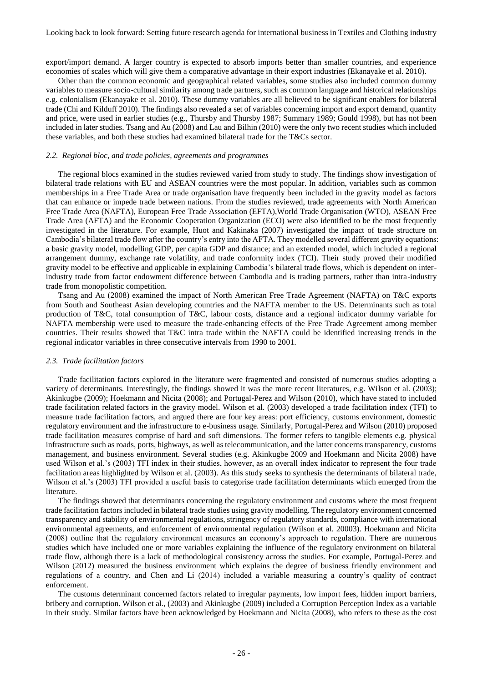export/import demand. A larger country is expected to absorb imports better than smaller countries, and experience economies of scales which will give them a comparative advantage in their export industries (Ekanayake et al. 2010).

Other than the common economic and geographical related variables, some studies also included common dummy variables to measure socio-cultural similarity among trade partners, such as common language and historical relationships e.g. colonialism (Ekanayake et al. 2010). These dummy variables are all believed to be significant enablers for bilateral trade (Chi and Kilduff 2010). The findings also revealed a set of variables concerning import and export demand, quantity and price, were used in earlier studies (e.g., Thursby and Thursby 1987; Summary 1989; Gould 1998), but has not been included in later studies. Tsang and Au (2008) and Lau and Bilhin (2010) were the only two recent studies which included these variables, and both these studies had examined bilateral trade for the T&Cs sector.

#### *2.2. Regional bloc, and trade policies, agreements and programmes*

The regional blocs examined in the studies reviewed varied from study to study. The findings show investigation of bilateral trade relations with EU and ASEAN countries were the most popular. In addition, variables such as common memberships in a Free Trade Area or trade organisation have frequently been included in the gravity model as factors that can enhance or impede trade between nations. From the studies reviewed, trade agreements with North American Free Trade Area (NAFTA), European Free Trade Association (EFTA),World Trade Organisation (WTO), ASEAN Free Trade Area (AFTA) and the Economic Cooperation Organization (ECO) were also identified to be the most frequently investigated in the literature. For example, Huot and Kakinaka (2007) investigated the impact of trade structure on Cambodia's bilateral trade flow after the country's entry into the AFTA. They modelled several different gravity equations: a basic gravity model, modelling GDP, per capita GDP and distance; and an extended model, which included a regional arrangement dummy, exchange rate volatility, and trade conformity index (TCI). Their study proved their modified gravity model to be effective and applicable in explaining Cambodia's bilateral trade flows, which is dependent on interindustry trade from factor endowment difference between Cambodia and is trading partners, rather than intra-industry trade from monopolistic competition.

Tsang and Au (2008) examined the impact of North American Free Trade Agreement (NAFTA) on T&C exports from South and Southeast Asian developing countries and the NAFTA member to the US. Determinants such as total production of T&C, total consumption of T&C, labour costs, distance and a regional indicator dummy variable for NAFTA membership were used to measure the trade-enhancing effects of the Free Trade Agreement among member countries. Their results showed that T&C intra trade within the NAFTA could be identified increasing trends in the regional indicator variables in three consecutive intervals from 1990 to 2001.

#### *2.3. Trade facilitation factors*

Trade facilitation factors explored in the literature were fragmented and consisted of numerous studies adopting a variety of determinants. Interestingly, the findings showed it was the more recent literatures, e.g. Wilson et al. (2003); Akinkugbe (2009); Hoekmann and Nicita (2008); and Portugal-Perez and Wilson (2010), which have stated to included trade facilitation related factors in the gravity model. Wilson et al. (2003) developed a trade facilitation index (TFI) to measure trade facilitation factors, and argued there are four key areas: port efficiency, customs environment, domestic regulatory environment and the infrastructure to e-business usage. Similarly, Portugal-Perez and Wilson (2010) proposed trade facilitation measures comprise of hard and soft dimensions. The former refers to tangible elements e.g. physical infrastructure such as roads, ports, highways, as well as telecommunication, and the latter concerns transparency, customs management, and business environment. Several studies (e.g. Akinkugbe 2009 and Hoekmann and Nicita 2008) have used Wilson et al.'s (2003) TFI index in their studies, however, as an overall index indicator to represent the four trade facilitation areas highlighted by Wilson et al. (2003). As this study seeks to synthesis the determinants of bilateral trade, Wilson et al.'s (2003) TFI provided a useful basis to categorise trade facilitation determinants which emerged from the literature.

The findings showed that determinants concerning the regulatory environment and customs where the most frequent trade facilitation factors included in bilateral trade studies using gravity modelling. The regulatory environment concerned transparency and stability of environmental regulations, stringency of regulatory standards, compliance with international environmental agreements, and enforcement of environmental regulation (Wilson et al. 20003). Hoekmann and Nicita (2008) outline that the regulatory environment measures an economy's approach to regulation. There are numerous studies which have included one or more variables explaining the influence of the regulatory environment on bilateral trade flow, although there is a lack of methodological consistency across the studies. For example, Portugal-Perez and Wilson (2012) measured the business environment which explains the degree of business friendly environment and regulations of a country, and Chen and Li (2014) included a variable measuring a country's quality of contract enforcement.

The customs determinant concerned factors related to irregular payments, low import fees, hidden import barriers, bribery and corruption. Wilson et al., (2003) and Akinkugbe (2009) included a Corruption Perception Index as a variable in their study. Similar factors have been acknowledged by Hoekmann and Nicita (2008), who refers to these as the cost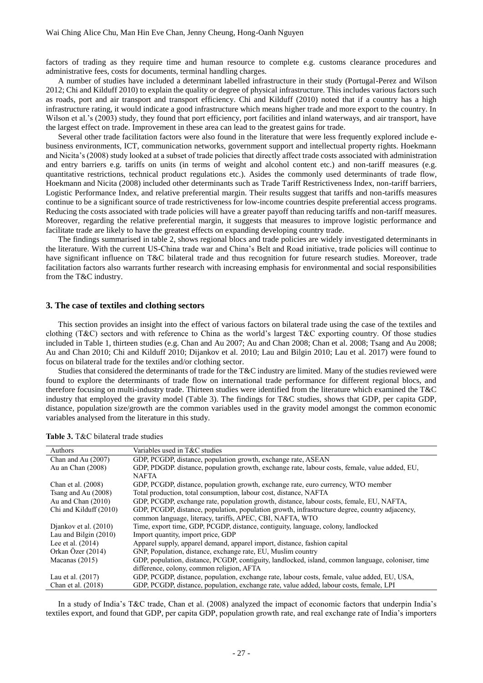factors of trading as they require time and human resource to complete e.g. customs clearance procedures and administrative fees, costs for documents, terminal handling charges.

A number of studies have included a determinant labelled infrastructure in their study (Portugal-Perez and Wilson 2012; Chi and Kilduff 2010) to explain the quality or degree of physical infrastructure. This includes various factors such as roads, port and air transport and transport efficiency. Chi and Kilduff (2010) noted that if a country has a high infrastructure rating, it would indicate a good infrastructure which means higher trade and more export to the country. In Wilson et al.'s (2003) study, they found that port efficiency, port facilities and inland waterways, and air transport, have the largest effect on trade. Improvement in these area can lead to the greatest gains for trade.

Several other trade facilitation factors were also found in the literature that were less frequently explored include ebusiness environments, ICT, communication networks, government support and intellectual property rights. Hoekmann and Nicita's (2008) study looked at a subset of trade policies that directly affect trade costs associated with administration and entry barriers e.g. tariffs on units (in terms of weight and alcohol content etc.) and non-tariff measures (e.g. quantitative restrictions, technical product regulations etc.). Asides the commonly used determinants of trade flow, Hoekmann and Nicita (2008) included other determinants such as Trade Tariff Restrictiveness Index, non-tariff barriers, Logistic Performance Index, and relative preferential margin. Their results suggest that tariffs and non-tariffs measures continue to be a significant source of trade restrictiveness for low-income countries despite preferential access programs. Reducing the costs associated with trade policies will have a greater payoff than reducing tariffs and non-tariff measures. Moreover, regarding the relative preferential margin, it suggests that measures to improve logistic performance and facilitate trade are likely to have the greatest effects on expanding developing country trade.

The findings summarised in table 2, shows regional blocs and trade policies are widely investigated determinants in the literature. With the current US-China trade war and China's Belt and Road initiative, trade policies will continue to have significant influence on T&C bilateral trade and thus recognition for future research studies. Moreover, trade facilitation factors also warrants further research with increasing emphasis for environmental and social responsibilities from the T&C industry.

#### **3. The case of textiles and clothing sectors**

This section provides an insight into the effect of various factors on bilateral trade using the case of the textiles and clothing (T&C) sectors and with reference to China as the world's largest T&C exporting country. Of those studies included in Table 1, thirteen studies (e.g. Chan and Au 2007; Au and Chan 2008; Chan et al. 2008; Tsang and Au 2008; Au and Chan 2010; Chi and Kilduff 2010; Dijankov et al. 2010; Lau and Bilgin 2010; Lau et al. 2017) were found to focus on bilateral trade for the textiles and/or clothing sector.

Studies that considered the determinants of trade for the T&C industry are limited. Many of the studies reviewed were found to explore the determinants of trade flow on international trade performance for different regional blocs, and therefore focusing on multi-industry trade. Thirteen studies were identified from the literature which examined the T&C industry that employed the gravity model (Table 3). The findings for T&C studies, shows that GDP, per capita GDP, distance, population size/growth are the common variables used in the gravity model amongst the common economic variables analysed from the literature in this study.

| Authors                | Variables used in T&C studies                                                                      |
|------------------------|----------------------------------------------------------------------------------------------------|
| Chan and Au (2007)     | GDP, PCGDP, distance, population growth, exchange rate, ASEAN                                      |
| Au an Chan (2008)      | GDP, PDGDP. distance, population growth, exchange rate, labour costs, female, value added, EU,     |
|                        | <b>NAFTA</b>                                                                                       |
| Chan et al. (2008)     | GDP, PCGDP, distance, population growth, exchange rate, euro currency, WTO member                  |
| Tsang and Au (2008)    | Total production, total consumption, labour cost, distance, NAFTA                                  |
| Au and Chan $(2010)$   | GDP, PCGDP, exchange rate, population growth, distance, labour costs, female, EU, NAFTA,           |
| Chi and Kilduff (2010) | GDP, PCGDP, distance, population, population growth, infrastructure degree, country adjacency,     |
|                        | common language, literacy, tariffs, APEC, CBI, NAFTA, WTO                                          |
| Djankov et al. (2010)  | Time, export time, GDP, PCGDP, distance, contiguity, language, colony, landlocked                  |
| Lau and Bilgin (2010)  | Import quantity, import price, GDP                                                                 |
| Lee et al. $(2014)$    | Apparel supply, apparel demand, apparel import, distance, fashion capital                          |
| Orkan Özer (2014)      | GNP, Population, distance, exchange rate, EU, Muslim country                                       |
| Macanas $(2015)$       | GDP, population, distance, PCGDP, contiguity, landlocked, island, common language, coloniser, time |
|                        | difference, colony, common religion, AFTA                                                          |
| Lau et al. (2017)      | GDP, PCGDP, distance, population, exchange rate, labour costs, female, value added, EU, USA,       |
| Chan et al. (2018)     | GDP, PCGDP, distance, population, exchange rate, value added, labour costs, female, LPI            |

| Table 3. T&C bilateral trade studies |  |  |  |  |
|--------------------------------------|--|--|--|--|
|--------------------------------------|--|--|--|--|

In a study of India's T&C trade, Chan et al. (2008) analyzed the impact of economic factors that underpin India's textiles export, and found that GDP, per capita GDP, population growth rate, and real exchange rate of India's importers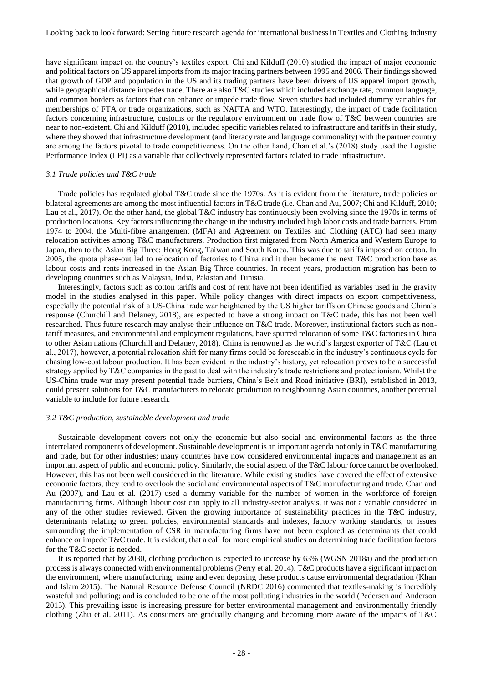have significant impact on the country's textiles export. Chi and Kilduff (2010) studied the impact of major economic and political factors on US apparel imports from its major trading partners between 1995 and 2006. Their findings showed that growth of GDP and population in the US and its trading partners have been drivers of US apparel import growth, while geographical distance impedes trade. There are also T&C studies which included exchange rate, common language, and common borders as factors that can enhance or impede trade flow. Seven studies had included dummy variables for memberships of FTA or trade organizations, such as NAFTA and WTO. Interestingly, the impact of trade facilitation factors concerning infrastructure, customs or the regulatory environment on trade flow of T&C between countries are near to non-existent. Chi and Kilduff (2010), included specific variables related to infrastructure and tariffs in their study, where they showed that infrastructure development (and literacy rate and language commonality) with the partner country are among the factors pivotal to trade competitiveness. On the other hand, Chan et al.'s (2018) study used the Logistic Performance Index (LPI) as a variable that collectively represented factors related to trade infrastructure.

#### *3.1 Trade policies and T&C trade*

Trade policies has regulated global T&C trade since the 1970s. As it is evident from the literature, trade policies or bilateral agreements are among the most influential factors in T&C trade (i.e. Chan and Au, 2007; Chi and Kilduff, 2010; Lau et al., 2017). On the other hand, the global T&C industry has continuously been evolving since the 1970s in terms of production locations. Key factors influencing the change in the industry included high labor costs and trade barriers. From 1974 to 2004, the Multi-fibre arrangement (MFA) and Agreement on Textiles and Clothing (ATC) had seen many relocation activities among T&C manufacturers. Production first migrated from North America and Western Europe to Japan, then to the Asian Big Three: Hong Kong, Taiwan and South Korea. This was due to tariffs imposed on cotton. In 2005, the quota phase-out led to relocation of factories to China and it then became the next T&C production base as labour costs and rents increased in the Asian Big Three countries. In recent years, production migration has been to developing countries such as Malaysia, India, Pakistan and Tunisia.

Interestingly, factors such as cotton tariffs and cost of rent have not been identified as variables used in the gravity model in the studies analysed in this paper. While policy changes with direct impacts on export competitiveness, especially the potential risk of a US-China trade war heightened by the US higher tariffs on Chinese goods and China's response (Churchill and Delaney, 2018), are expected to have a strong impact on T&C trade, this has not been well researched. Thus future research may analyse their influence on T&C trade. Moreover, institutional factors such as nontariff measures, and environmental and employment regulations, have spurred relocation of some T&C factories in China to other Asian nations (Churchill and Delaney, 2018). China is renowned as the world's largest exporter of T&C (Lau et al., 2017), however, a potential relocation shift for many firms could be foreseeable in the industry's continuous cycle for chasing low-cost labour production. It has been evident in the industry's history, yet relocation proves to be a successful strategy applied by T&C companies in the past to deal with the industry's trade restrictions and protectionism. Whilst the US-China trade war may present potential trade barriers, China's Belt and Road initiative (BRI), established in 2013, could present solutions for T&C manufacturers to relocate production to neighbouring Asian countries, another potential variable to include for future research.

#### *3.2 T&C production, sustainable development and trade*

Sustainable development covers not only the economic but also social and environmental factors as the three interrelated components of development. Sustainable development is an important agenda not only in T&C manufacturing and trade, but for other industries; many countries have now considered environmental impacts and management as an important aspect of public and economic policy. Similarly, the social aspect of the T&C labour force cannot be overlooked. However, this has not been well considered in the literature. While existing studies have covered the effect of extensive economic factors, they tend to overlook the social and environmental aspects of T&C manufacturing and trade. Chan and Au (2007), and Lau et al. (2017) used a dummy variable for the number of women in the workforce of foreign manufacturing firms. Although labour cost can apply to all industry-sector analysis, it was not a variable considered in any of the other studies reviewed. Given the growing importance of sustainability practices in the T&C industry, determinants relating to green policies, environmental standards and indexes, factory working standards, or issues surrounding the implementation of CSR in manufacturing firms have not been explored as determinants that could enhance or impede T&C trade. It is evident, that a call for more empirical studies on determining trade facilitation factors for the T&C sector is needed.

It is reported that by 2030, clothing production is expected to increase by 63% (WGSN 2018a) and the production process is always connected with environmental problems (Perry et al. 2014). T&C products have a significant impact on the environment, where manufacturing, using and even deposing these products cause environmental degradation (Khan and Islam 2015). The Natural Resource Defense Council (NRDC 2016) commented that textiles-making is incredibly wasteful and polluting; and is concluded to be one of the most polluting industries in the world (Pedersen and Anderson 2015). This prevailing issue is increasing pressure for better environmental management and environmentally friendly clothing (Zhu et al. 2011). As consumers are gradually changing and becoming more aware of the impacts of T&C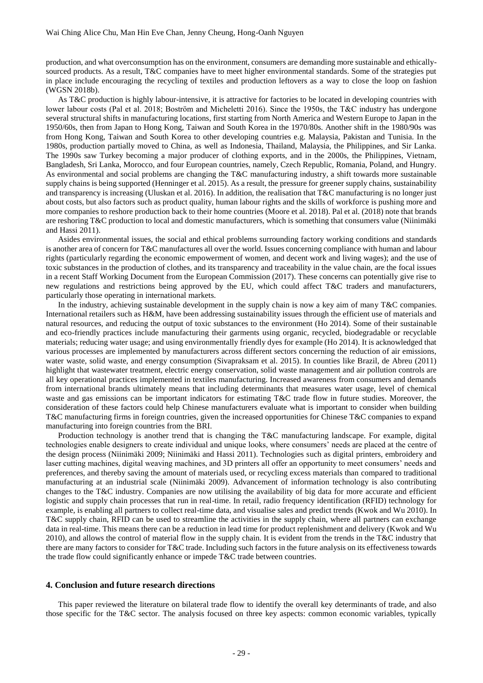production, and what overconsumption has on the environment, consumers are demanding more sustainable and ethicallysourced products. As a result, T&C companies have to meet higher environmental standards. Some of the strategies put in place include encouraging the recycling of textiles and production leftovers as a way to close the loop on fashion (WGSN 2018b).

As T&C production is highly labour-intensive, it is attractive for factories to be located in developing countries with lower labour costs (Pal et al. 2018; Boström and Micheletti 2016). Since the 1950s, the T&C industry has undergone several structural shifts in manufacturing locations, first starting from North America and Western Europe to Japan in the 1950/60s, then from Japan to Hong Kong, Taiwan and South Korea in the 1970/80s. Another shift in the 1980/90s was from Hong Kong, Taiwan and South Korea to other developing countries e.g. Malaysia, Pakistan and Tunisia. In the 1980s, production partially moved to China, as well as Indonesia, Thailand, Malaysia, the Philippines, and Sir Lanka. The 1990s saw Turkey becoming a major producer of clothing exports, and in the 2000s, the Philippines, Vietnam, Bangladesh, Sri Lanka, Morocco, and four European countries, namely, Czech Republic, Romania, Poland, and Hungry. As environmental and social problems are changing the T&C manufacturing industry, a shift towards more sustainable supply chains is being supported (Henninger et al. 2015). As a result, the pressure for greener supply chains, sustainability and transparency is increasing (Uluskan et al. 2016). In addition, the realisation that T&C manufacturing is no longer just about costs, but also factors such as product quality, human labour rights and the skills of workforce is pushing more and more companies to reshore production back to their home countries (Moore et al. 2018). Pal et al. (2018) note that brands are reshoring T&C production to local and domestic manufacturers, which is something that consumers value (Niinimäki and Hassi 2011).

Asides environmental issues, the social and ethical problems surrounding factory working conditions and standards is another area of concern for T&C manufactures all over the world. Issues concerning compliance with human and labour rights (particularly regarding the economic empowerment of women, and decent work and living wages); and the use of toxic substances in the production of clothes, and its transparency and traceability in the value chain, are the focal issues in a recent Staff Working Document from the European Commission (2017). These concerns can potentially give rise to new regulations and restrictions being approved by the EU, which could affect T&C traders and manufacturers, particularly those operating in international markets.

In the industry, achieving sustainable development in the supply chain is now a key aim of many T&C companies. International retailers such as H&M, have been addressing sustainability issues through the efficient use of materials and natural resources, and reducing the output of toxic substances to the environment (Ho 2014). Some of their sustainable and eco-friendly practices include manufacturing their garments using organic, recycled, biodegradable or recyclable materials; reducing water usage; and using environmentally friendly dyes for example (Ho 2014). It is acknowledged that various processes are implemented by manufacturers across different sectors concerning the reduction of air emissions, water waste, solid waste, and energy consumption (Sivapraksam et al. 2015). In counties like Brazil, de Abreu (2011) highlight that wastewater treatment, electric energy conservation, solid waste management and air pollution controls are all key operational practices implemented in textiles manufacturing. Increased awareness from consumers and demands from international brands ultimately means that including determinants that measures water usage, level of chemical waste and gas emissions can be important indicators for estimating T&C trade flow in future studies. Moreover, the consideration of these factors could help Chinese manufacturers evaluate what is important to consider when building T&C manufacturing firms in foreign countries, given the increased opportunities for Chinese T&C companies to expand manufacturing into foreign countries from the BRI.

Production technology is another trend that is changing the T&C manufacturing landscape. For example, digital technologies enable designers to create individual and unique looks, where consumers' needs are placed at the centre of the design process (Niinimäki 2009; Niinimäki and Hassi 2011). Technologies such as digital printers, embroidery and laser cutting machines, digital weaving machines, and 3D printers all offer an opportunity to meet consumers' needs and preferences, and thereby saving the amount of materials used, or recycling excess materials than compared to traditional manufacturing at an industrial scale (Niinimäki 2009). Advancement of information technology is also contributing changes to the T&C industry. Companies are now utilising the availability of big data for more accurate and efficient logistic and supply chain processes that run in real-time. In retail, radio frequency identification (RFID) technology for example, is enabling all partners to collect real-time data, and visualise sales and predict trends (Kwok and Wu 2010). In T&C supply chain, RFID can be used to streamline the activities in the supply chain, where all partners can exchange data in real-time. This means there can be a reduction in lead time for product replenishment and delivery (Kwok and Wu  $2010$ ), and allows the control of material flow in the supply chain. It is evident from the trends in the T&C industry that there are many factors to consider for T&C trade. Including such factors in the future analysis on its effectiveness towards the trade flow could significantly enhance or impede T&C trade between countries.

#### **4. Conclusion and future research directions**

This paper reviewed the literature on bilateral trade flow to identify the overall key determinants of trade, and also those specific for the T&C sector. The analysis focused on three key aspects: common economic variables, typically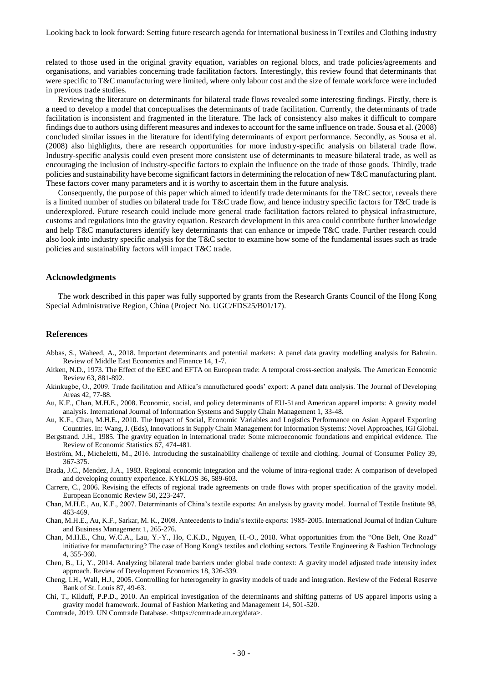related to those used in the original gravity equation, variables on regional blocs, and trade policies/agreements and organisations, and variables concerning trade facilitation factors. Interestingly, this review found that determinants that were specific to T&C manufacturing were limited, where only labour cost and the size of female workforce were included in previous trade studies.

Reviewing the literature on determinants for bilateral trade flows revealed some interesting findings. Firstly, there is a need to develop a model that conceptualises the determinants of trade facilitation. Currently, the determinants of trade facilitation is inconsistent and fragmented in the literature. The lack of consistency also makes it difficult to compare findings due to authors using different measures and indexes to account for the same influence on trade. Sousa et al. (2008) concluded similar issues in the literature for identifying determinants of export performance. Secondly, as Sousa et al. (2008) also highlights, there are research opportunities for more industry-specific analysis on bilateral trade flow. Industry-specific analysis could even present more consistent use of determinants to measure bilateral trade, as well as encouraging the inclusion of industry-specific factors to explain the influence on the trade of those goods. Thirdly, trade policies and sustainability have become significant factors in determining the relocation of new T&C manufacturing plant. These factors cover many parameters and it is worthy to ascertain them in the future analysis.

Consequently, the purpose of this paper which aimed to identify trade determinants for the T&C sector, reveals there is a limited number of studies on bilateral trade for T&C trade flow, and hence industry specific factors for T&C trade is underexplored. Future research could include more general trade facilitation factors related to physical infrastructure, customs and regulations into the gravity equation. Research development in this area could contribute further knowledge and help T&C manufacturers identify key determinants that can enhance or impede T&C trade. Further research could also look into industry specific analysis for the T&C sector to examine how some of the fundamental issues such as trade policies and sustainability factors will impact T&C trade.

#### **Acknowledgments**

The work described in this paper was fully supported by grants from the Research Grants Council of the Hong Kong Special Administrative Region, China (Project No. UGC/FDS25/B01/17).

#### **References**

- Abbas, S., Waheed, A., 2018. Important determinants and potential markets: A panel data gravity modelling analysis for Bahrain. Review of Middle East Economics and Finance 14, 1-7.
- Aitken, N.D., 1973. The Effect of the EEC and EFTA on European trade: A temporal cross-section analysis. The American Economic Review 63, 881-892.
- Akinkugbe, O., 2009. Trade facilitation and Africa's manufactured goods' export: A panel data analysis. The Journal of Developing Areas 42, 77-88.
- Au, K.F., Chan, M.H.E., 2008. Economic, social, and policy determinants of EU-51and American apparel imports: A gravity model analysis. International Journal of Information Systems and Supply Chain Management 1, 33-48.
- Au, K.F., Chan, M.H.E., 2010. The Impact of Social, Economic Variables and Logistics Performance on Asian Apparel Exporting Countries. In: Wang, J. (Eds), Innovations in Supply Chain Management for Information Systems: Novel Approaches, IGI Global.
- Bergstrand. J.H., 1985. The gravity equation in international trade: Some microeconomic foundations and empirical evidence. The Review of Economic Statistics 67, 474-481.
- Boström, M., Micheletti, M., 2016. Introducing the sustainability challenge of textile and clothing. Journal of Consumer Policy 39, 367-375.
- Brada, J.C., Mendez, J.A., 1983. Regional economic integration and the volume of intra-regional trade: A comparison of developed and developing country experience. KYKLOS 36, 589-603.
- Carrere, C., 2006. Revising the effects of regional trade agreements on trade flows with proper specification of the gravity model. European Economic Review 50, 223-247.
- Chan, M.H.E., Au, K.F., 2007. Determinants of China's textile exports: An analysis by gravity model. Journal of Textile Institute 98, 463-469.
- Chan, M.H.E., Au, K.F., Sarkar, M. K., 2008. Antecedents to India's textile exports: 1985-2005. International Journal of Indian Culture and Business Management 1, 265-276.
- Chan, M.H.E., Chu, W.C.A., Lau, Y.-Y., Ho, C.K.D., Nguyen, H.-O., 2018. What opportunities from the "One Belt, One Road" initiative for manufacturing? The case of Hong Kong's textiles and clothing sectors. Textile Engineering & Fashion Technology 4, 355-360.
- Chen, B., Li, Y., 2014. Analyzing bilateral trade barriers under global trade context: A gravity model adjusted trade intensity index approach. Review of Development Economics 18, 326-339.
- Cheng, I.H., Wall, H.J., 2005. Controlling for heterogeneity in gravity models of trade and integration. Review of the Federal Reserve Bank of St. Louis 87, 49-63.
- Chi, T., Kilduff, P.P.D., 2010. An empirical investigation of the determinants and shifting patterns of US apparel imports using a gravity model framework. Journal of Fashion Marketing and Management 14, 501-520.
- Comtrade, 2019. UN Comtrade Database. <https://comtrade.un.org/data>.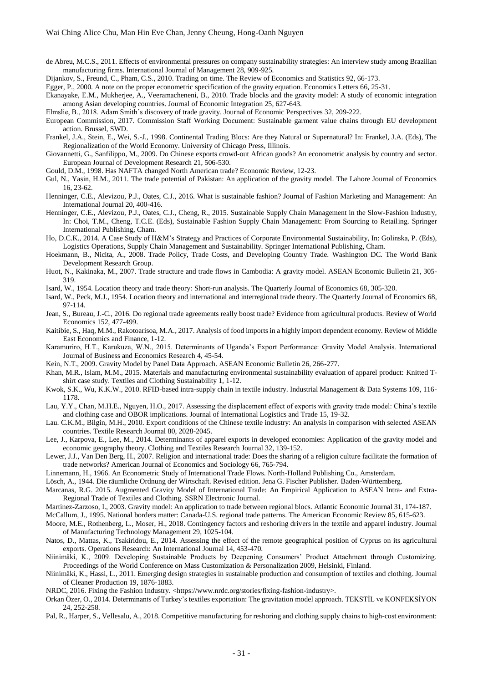de Abreu, M.C.S., 2011. Effects of environmental pressures on company sustainability strategies: An interview study among Brazilian manufacturing firms. International Journal of Management 28, 909-925.

Dijankov, S., Freund, C., Pham, C.S., 2010. Trading on time. The Review of Economics and Statistics 92, 66-173.

Egger, P., 2000. A note on the proper econometric specification of the gravity equation. Economics Letters 66, 25-31.

- Ekanayake, E.M., Mukherjee, A., Veeramacheneni, B., 2010. Trade blocks and the gravity model: A study of economic integration among Asian developing countries. Journal of Economic Integration 25, 627-643.
- Elmslie, B., 2018. Adam Smith's discovery of trade gravity. Journal of Economic Perspectives 32, 209-222.
- European Commission, 2017. Commission Staff Working Document: Sustainable garment value chains through EU development action. Brussel, SWD.
- Frankel, J.A., Stein, E., Wei, S.-J., 1998. Continental Trading Blocs: Are they Natural or Supernatural? In: Frankel, J.A. (Eds), The Regionalization of the World Economy. University of Chicago Press, Illinois.
- Giovannetti, G., Sanfilippo, M., 2009. Do Chinese exports crowd-out African goods? An econometric analysis by country and sector. European Journal of Development Research 21, 506-530.
- Gould, D.M., 1998. Has NAFTA changed North American trade? Economic Review, 12-23.
- Gul, N., Yasin, H.M., 2011. The trade potential of Pakistan: An application of the gravity model. The Lahore Journal of Economics 16, 23-62.
- Henninger, C.E., Alevizou, P.J., Oates, C.J., 2016. What is sustainable fashion? Journal of Fashion Marketing and Management: An International Journal 20, 400-416.
- Henninger, C.E., Alevizou, P.J., Oates, C.J., Cheng, R., 2015. Sustainable Supply Chain Management in the Slow-Fashion Industry, In: Choi, T.M., Cheng, T.C.E. (Eds), Sustainable Fashion Supply Chain Management: From Sourcing to Retailing. Springer International Publishing, Cham.
- Ho, D.C.K., 2014. A Case Study of H&M's Strategy and Practices of Corporate Environmental Sustainability, In: Golinska, P. (Eds), Logistics Operations, Supply Chain Management and Sustainability. Springer International Publishing, Cham.
- Hoekmann, B., Nicita, A., 2008. Trade Policy, Trade Costs, and Developing Country Trade. Washington DC. The World Bank Development Research Group.
- Huot, N., Kakinaka, M., 2007. Trade structure and trade flows in Cambodia: A gravity model. ASEAN Economic Bulletin 21, 305- 319.
- Isard, W., 1954. Location theory and trade theory: Short-run analysis. The Quarterly Journal of Economics 68, 305-320.
- Isard, W., Peck, M.J., 1954. Location theory and international and interregional trade theory. The Quarterly Journal of Economics 68, 97-114.
- Jean, S., Bureau, J.-C., 2016. Do regional trade agreements really boost trade? Evidence from agricultural products. Review of World Economics 152, 477-499.
- Kaitibie, S., Haq, M.M., Rakotoarisoa, M.A., 2017. Analysis of food imports in a highly import dependent economy. Review of Middle East Economics and Finance, 1-12.
- Karamuriro, H.T., Karukuza, W.N., 2015. Determinants of Uganda's Export Performance: Gravity Model Analysis. International Journal of Business and Economics Research 4, 45-54.
- Kein, N.T., 2009. Gravity Model by Panel Data Approach. ASEAN Economic Bulletin 26, 266-277.
- Khan, M.R., Islam, M.M., 2015. Materials and manufacturing environmental sustainability evaluation of apparel product: Knitted Tshirt case study. Textiles and Clothing Sustainability 1, 1-12.
- Kwok, S.K., Wu, K.K.W., 2010. RFID-based intra-supply chain in textile industry. Industrial Management & Data Systems 109, 116- 1178.
- Lau, Y.Y., Chan, M.H.E., Nguyen, H.O., 2017. Assessing the displacement effect of exports with gravity trade model: China's textile and clothing case and OBOR implications. Journal of International Logistics and Trade 15, 19-32.
- Lau. C.K.M., Bilgin, M.H., 2010. Export conditions of the Chinese textile industry: An analysis in comparison with selected ASEAN countries. Textile Research Journal 80, 2028-2045.
- Lee, J., Karpova, E., Lee, M., 2014. Determinants of apparel exports in developed economies: Application of the gravity model and economic geography theory. Clothing and Textiles Research Journal 32, 139-152.
- Lewer, J.J., Van Den Berg, H., 2007. Religion and international trade: Does the sharing of a religion culture facilitate the formation of trade networks? American Journal of Economics and Sociology 66, 765-794.
- Linnemann, H., 1966. An Econometric Study of International Trade Flows. North-Holland Publishing Co., Amsterdam.
- Lösch, A., 1944. Die räumliche Ordnung der Wirtschaft. Revised edition. Jena G. Fischer Publisher. Baden-Württemberg.
- Marcanas, R.G. 2015. Augmented Gravity Model of International Trade: An Empirical Application to ASEAN Intra- and Extra-Regional Trade of Textiles and Clothing. SSRN Electronic Journal.
- Martinez-Zarzoso, I., 2003. Gravity model: An application to trade between regional blocs. Atlantic Economic Journal 31, 174-187.
- McCallum, J., 1995. National borders matter: Canada-U.S. regional trade patterns. The American Economic Review 85, 615-623.
- Moore, M.E., Rothenberg, L., Moser, H., 2018. Contingency factors and reshoring drivers in the textile and apparel industry. Journal of Manufacturing Technology Management 29, 1025-104.
- Natos, D., Mattas, K., Tsakiridou, E., 2014. Assessing the effect of the remote geographical position of Cyprus on its agricultural exports. Operations Research: An International Journal 14, 453-470.
- Niinimäki, K., 2009. Developing Sustainable Products by Deepening Consumers' Product Attachment through Customizing. Proceedings of the World Conference on Mass Customization & Personalization 2009, Helsinki, Finland.
- Niinimäki, K., Hassi, L., 2011. Emerging design strategies in sustainable production and consumption of textiles and clothing. Journal of Cleaner Production 19, 1876-1883.
- NRDC, 2016. Fixing the Fashion Industry. <https://www.nrdc.org/stories/fixing-fashion-industry>.
- Orkan Özer, O., 2014. Determinants of Turkey's textiles exportation: The gravitation model approach. TEKSTİL ve KONFEKSİYON 24, 252-258.
- Pal, R., Harper, S., Vellesalu, A., 2018. Competitive manufacturing for reshoring and clothing supply chains to high-cost environment: